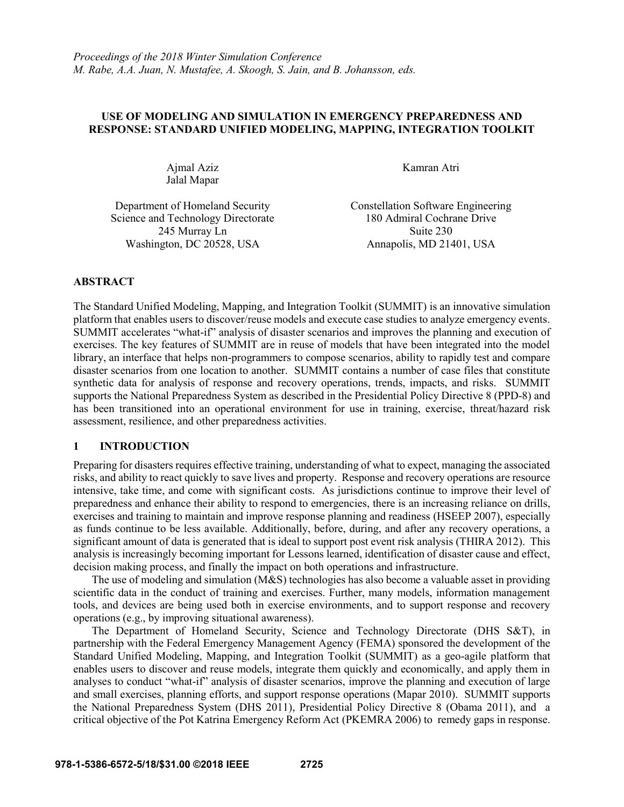# **USE OF MODELING AND SIMULATION IN EMERGENCY PREPAREDNESS AND RESPONSE: STANDARD UNIFIED MODELING, MAPPING, INTEGRATION TOOLKIT**

Ajmal Aziz Jalal Mapar Kamran Atri

Department of Homeland Security Constellation Software Engineering Science and Technology Directorate 180 Admiral Cochrane Drive 245 Murray Ln Suite 230 Washington, DC 20528, USA Annapolis, MD 21401, USA

# **ABSTRACT**

The Standard Unified Modeling, Mapping, and Integration Toolkit (SUMMIT) is an innovative simulation platform that enables users to discover/reuse models and execute case studies to analyze emergency events. SUMMIT accelerates "what-if" analysis of disaster scenarios and improves the planning and execution of exercises. The key features of SUMMIT are in reuse of models that have been integrated into the model library, an interface that helps non-programmers to compose scenarios, ability to rapidly test and compare disaster scenarios from one location to another. SUMMIT contains a number of case files that constitute synthetic data for analysis of response and recovery operations, trends, impacts, and risks. SUMMIT supports the National Preparedness System as described in the Presidential Policy Directive 8 (PPD-8) and has been transitioned into an operational environment for use in training, exercise, threat/hazard risk assessment, resilience, and other preparedness activities.

# **1 INTRODUCTION**

Preparing for disasters requires effective training, understanding of what to expect, managing the associated risks, and ability to react quickly to save lives and property. Response and recovery operations are resource intensive, take time, and come with significant costs. As jurisdictions continue to improve their level of preparedness and enhance their ability to respond to emergencies, there is an increasing reliance on drills, exercises and training to maintain and improve response planning and readiness (HSEEP 2007), especially as funds continue to be less available. Additionally, before, during, and after any recovery operations, a significant amount of data is generated that is ideal to support post event risk analysis (THIRA 2012). This analysis is increasingly becoming important for Lessons learned, identification of disaster cause and effect, decision making process, and finally the impact on both operations and infrastructure.

The use of modeling and simulation (M&S) technologies has also become a valuable asset in providing scientific data in the conduct of training and exercises. Further, many models, information management tools, and devices are being used both in exercise environments, and to support response and recovery operations (e.g., by improving situational awareness).

The Department of Homeland Security, Science and Technology Directorate (DHS S&T), in partnership with the Federal Emergency Management Agency (FEMA) sponsored the development of the Standard Unified Modeling, Mapping, and Integration Toolkit (SUMMIT) as a geo-agile platform that enables users to discover and reuse models, integrate them quickly and economically, and apply them in analyses to conduct "what-if" analysis of disaster scenarios, improve the planning and execution of large and small exercises, planning efforts, and support response operations (Mapar 2010). SUMMIT supports the National Preparedness System (DHS 2011), Presidential Policy Directive 8 (Obama 2011), and a critical objective of the Pot Katrina Emergency Reform Act (PKEMRA 2006) to remedy gaps in response.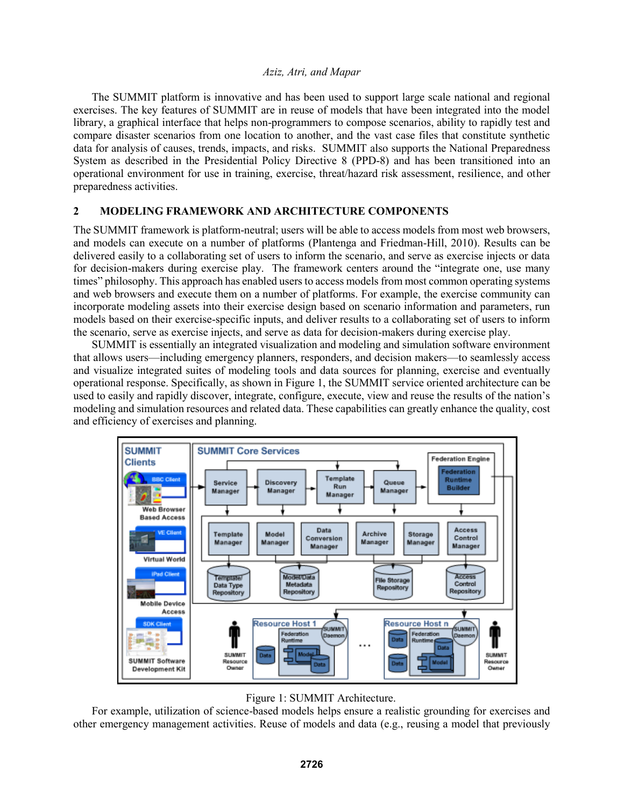The SUMMIT platform is innovative and has been used to support large scale national and regional exercises. The key features of SUMMIT are in reuse of models that have been integrated into the model library, a graphical interface that helps non-programmers to compose scenarios, ability to rapidly test and compare disaster scenarios from one location to another, and the vast case files that constitute synthetic data for analysis of causes, trends, impacts, and risks. SUMMIT also supports the National Preparedness System as described in the Presidential Policy Directive 8 (PPD-8) and has been transitioned into an operational environment for use in training, exercise, threat/hazard risk assessment, resilience, and other preparedness activities.

# **2 MODELING FRAMEWORK AND ARCHITECTURE COMPONENTS**

The SUMMIT framework is platform-neutral; users will be able to access models from most web browsers, and models can execute on a number of platforms (Plantenga and Friedman-Hill, 2010). Results can be delivered easily to a collaborating set of users to inform the scenario, and serve as exercise injects or data for decision-makers during exercise play. The framework centers around the "integrate one, use many times" philosophy. This approach has enabled users to access models from most common operating systems and web browsers and execute them on a number of platforms. For example, the exercise community can incorporate modeling assets into their exercise design based on scenario information and parameters, run models based on their exercise-specific inputs, and deliver results to a collaborating set of users to inform the scenario, serve as exercise injects, and serve as data for decision-makers during exercise play.

SUMMIT is essentially an integrated visualization and modeling and simulation software environment that allows users—including emergency planners, responders, and decision makers—to seamlessly access and visualize integrated suites of modeling tools and data sources for planning, exercise and eventually operational response. Specifically, as shown in Figure 1, the SUMMIT service oriented architecture can be used to easily and rapidly discover, integrate, configure, execute, view and reuse the results of the nation's modeling and simulation resources and related data. These capabilities can greatly enhance the quality, cost and efficiency of exercises and planning.





For example, utilization of science-based models helps ensure a realistic grounding for exercises and other emergency management activities. Reuse of models and data (e.g., reusing a model that previously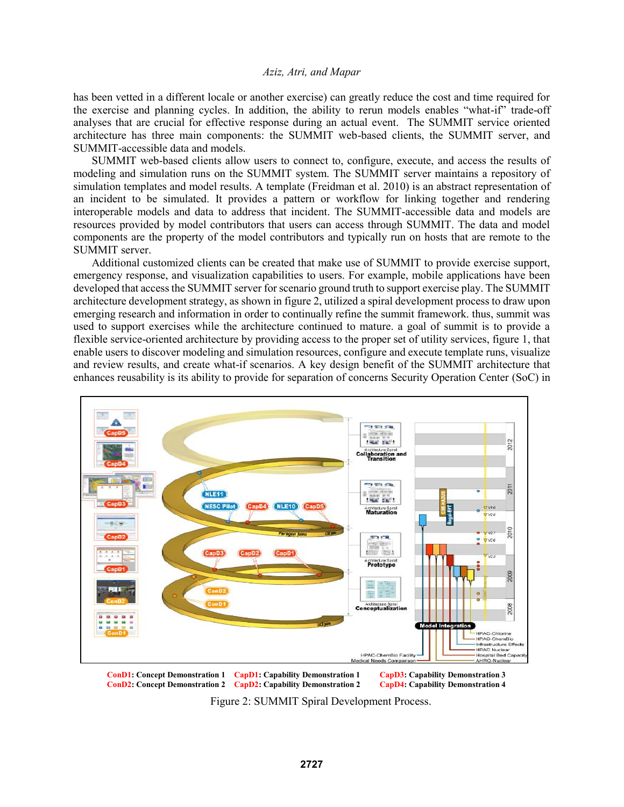has been vetted in a different locale or another exercise) can greatly reduce the cost and time required for the exercise and planning cycles. In addition, the ability to rerun models enables "what-if" trade-off analyses that are crucial for effective response during an actual event. The SUMMIT service oriented architecture has three main components: the SUMMIT web-based clients, the SUMMIT server, and SUMMIT-accessible data and models.

SUMMIT web-based clients allow users to connect to, configure, execute, and access the results of modeling and simulation runs on the SUMMIT system. The SUMMIT server maintains a repository of simulation templates and model results. A template (Freidman et al. 2010) is an abstract representation of an incident to be simulated. It provides a pattern or workflow for linking together and rendering interoperable models and data to address that incident. The SUMMIT-accessible data and models are resources provided by model contributors that users can access through SUMMIT. The data and model components are the property of the model contributors and typically run on hosts that are remote to the SUMMIT server.

Additional customized clients can be created that make use of SUMMIT to provide exercise support, emergency response, and visualization capabilities to users. For example, mobile applications have been developed that access the SUMMIT server for scenario ground truth to support exercise play. The SUMMIT architecture development strategy, as shown in figure 2, utilized a spiral development process to draw upon emerging research and information in order to continually refine the summit framework. thus, summit was used to support exercises while the architecture continued to mature. a goal of summit is to provide a flexible service-oriented architecture by providing access to the proper set of utility services, figure 1, that enable users to discover modeling and simulation resources, configure and execute template runs, visualize and review results, and create what-if scenarios. A key design benefit of the SUMMIT architecture that enhances reusability is its ability to provide for separation of concerns Security Operation Center (SoC) in



**ConD1: Concept Demonstration 1 CapD1: Capability Demonstration 1 CapD3: Capability Demonstration 3 ConD2: Concept Demonstration 2 CapD2: Capability Demonstration 2** 

Figure 2: SUMMIT Spiral Development Process.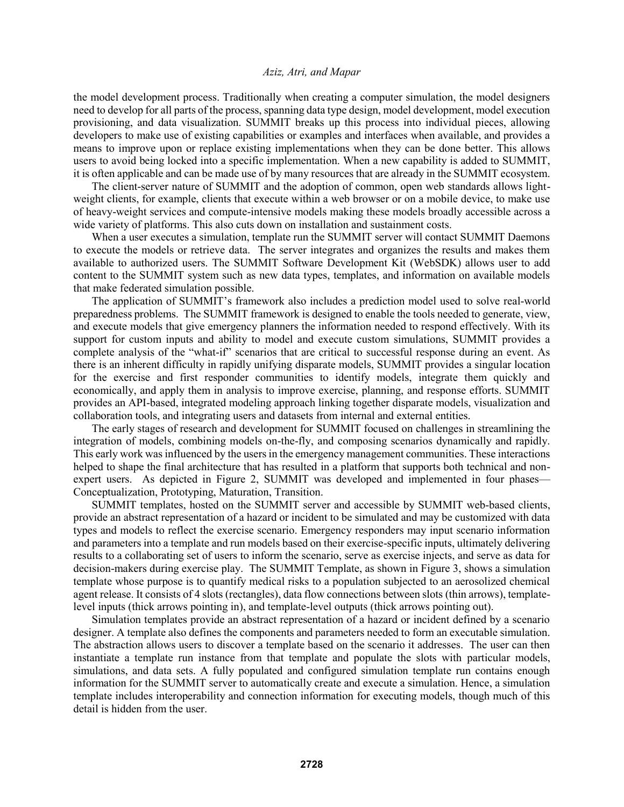the model development process. Traditionally when creating a computer simulation, the model designers need to develop for all parts of the process, spanning data type design, model development, model execution provisioning, and data visualization. SUMMIT breaks up this process into individual pieces, allowing developers to make use of existing capabilities or examples and interfaces when available, and provides a means to improve upon or replace existing implementations when they can be done better. This allows users to avoid being locked into a specific implementation. When a new capability is added to SUMMIT, it is often applicable and can be made use of by many resources that are already in the SUMMIT ecosystem.

The client-server nature of SUMMIT and the adoption of common, open web standards allows lightweight clients, for example, clients that execute within a web browser or on a mobile device, to make use of heavy-weight services and compute-intensive models making these models broadly accessible across a wide variety of platforms. This also cuts down on installation and sustainment costs.

When a user executes a simulation, template run the SUMMIT server will contact SUMMIT Daemons to execute the models or retrieve data. The server integrates and organizes the results and makes them available to authorized users. The SUMMIT Software Development Kit (WebSDK) allows user to add content to the SUMMIT system such as new data types, templates, and information on available models that make federated simulation possible.

The application of SUMMIT's framework also includes a prediction model used to solve real-world preparedness problems. The SUMMIT framework is designed to enable the tools needed to generate, view, and execute models that give emergency planners the information needed to respond effectively. With its support for custom inputs and ability to model and execute custom simulations, SUMMIT provides a complete analysis of the "what-if" scenarios that are critical to successful response during an event. As there is an inherent difficulty in rapidly unifying disparate models, SUMMIT provides a singular location for the exercise and first responder communities to identify models, integrate them quickly and economically, and apply them in analysis to improve exercise, planning, and response efforts. SUMMIT provides an API-based, integrated modeling approach linking together disparate models, visualization and collaboration tools, and integrating users and datasets from internal and external entities.

The early stages of research and development for SUMMIT focused on challenges in streamlining the integration of models, combining models on-the-fly, and composing scenarios dynamically and rapidly. This early work was influenced by the users in the emergency management communities. These interactions helped to shape the final architecture that has resulted in a platform that supports both technical and nonexpert users. As depicted in Figure 2, SUMMIT was developed and implemented in four phases— Conceptualization, Prototyping, Maturation, Transition.

SUMMIT templates, hosted on the SUMMIT server and accessible by SUMMIT web-based clients, provide an abstract representation of a hazard or incident to be simulated and may be customized with data types and models to reflect the exercise scenario. Emergency responders may input scenario information and parameters into a template and run models based on their exercise-specific inputs, ultimately delivering results to a collaborating set of users to inform the scenario, serve as exercise injects, and serve as data for decision-makers during exercise play. The SUMMIT Template, as shown in Figure 3, shows a simulation template whose purpose is to quantify medical risks to a population subjected to an aerosolized chemical agent release. It consists of 4 slots (rectangles), data flow connections between slots (thin arrows), templatelevel inputs (thick arrows pointing in), and template-level outputs (thick arrows pointing out).

Simulation templates provide an abstract representation of a hazard or incident defined by a scenario designer. A template also defines the components and parameters needed to form an executable simulation. The abstraction allows users to discover a template based on the scenario it addresses. The user can then instantiate a template run instance from that template and populate the slots with particular models, simulations, and data sets. A fully populated and configured simulation template run contains enough information for the SUMMIT server to automatically create and execute a simulation. Hence, a simulation template includes interoperability and connection information for executing models, though much of this detail is hidden from the user.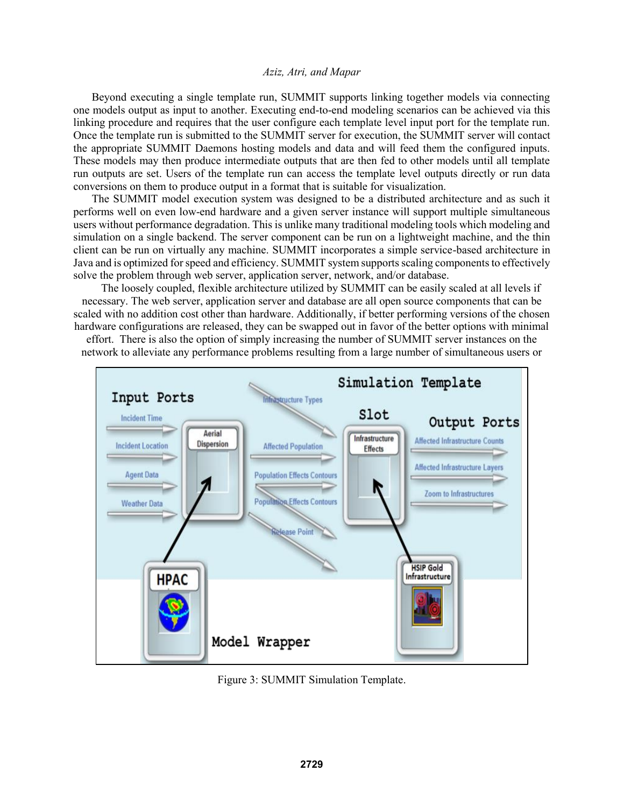Beyond executing a single template run, SUMMIT supports linking together models via connecting one models output as input to another. Executing end-to-end modeling scenarios can be achieved via this linking procedure and requires that the user configure each template level input port for the template run. Once the template run is submitted to the SUMMIT server for execution, the SUMMIT server will contact the appropriate SUMMIT Daemons hosting models and data and will feed them the configured inputs. These models may then produce intermediate outputs that are then fed to other models until all template run outputs are set. Users of the template run can access the template level outputs directly or run data conversions on them to produce output in a format that is suitable for visualization.

The SUMMIT model execution system was designed to be a distributed architecture and as such it performs well on even low-end hardware and a given server instance will support multiple simultaneous users without performance degradation. This is unlike many traditional modeling tools which modeling and simulation on a single backend. The server component can be run on a lightweight machine, and the thin client can be run on virtually any machine. SUMMIT incorporates a simple service-based architecture in Java and is optimized for speed and efficiency. SUMMIT system supports scaling components to effectively solve the problem through web server, application server, network, and/or database.

The loosely coupled, flexible architecture utilized by SUMMIT can be easily scaled at all levels if necessary. The web server, application server and database are all open source components that can be scaled with no addition cost other than hardware. Additionally, if better performing versions of the chosen hardware configurations are released, they can be swapped out in favor of the better options with minimal effort. There is also the option of simply increasing the number of SUMMIT server instances on the

network to alleviate any performance problems resulting from a large number of simultaneous users or



Figure 3: SUMMIT Simulation Template.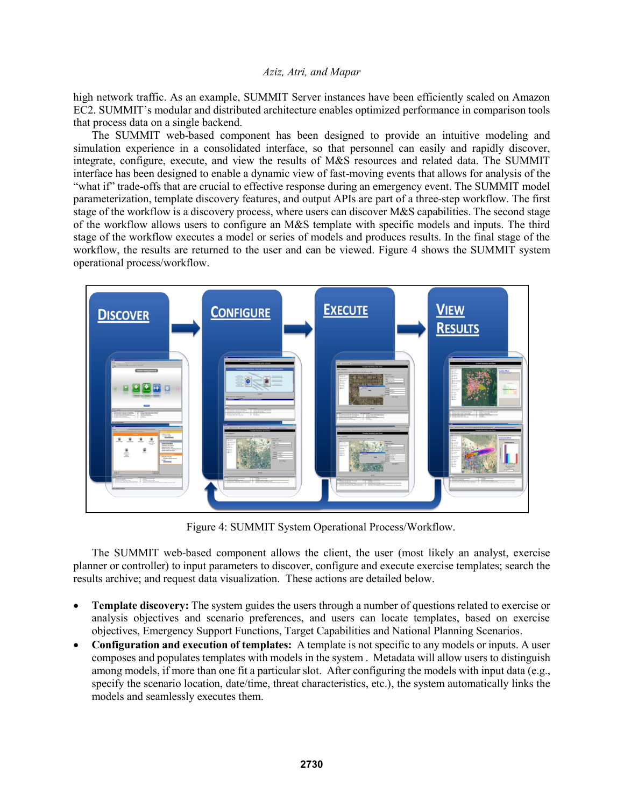high network traffic. As an example, SUMMIT Server instances have been efficiently scaled on Amazon EC2. SUMMIT's modular and distributed architecture enables optimized performance in comparison tools that process data on a single backend.

The SUMMIT web-based component has been designed to provide an intuitive modeling and simulation experience in a consolidated interface, so that personnel can easily and rapidly discover, integrate, configure, execute, and view the results of M&S resources and related data. The SUMMIT interface has been designed to enable a dynamic view of fast-moving events that allows for analysis of the "what if" trade-offs that are crucial to effective response during an emergency event. The SUMMIT model parameterization, template discovery features, and output APIs are part of a three-step workflow. The first stage of the workflow is a discovery process, where users can discover M&S capabilities. The second stage of the workflow allows users to configure an M&S template with specific models and inputs. The third stage of the workflow executes a model or series of models and produces results. In the final stage of the workflow, the results are returned to the user and can be viewed. Figure 4 shows the SUMMIT system operational process/workflow.



Figure 4: SUMMIT System Operational Process/Workflow.

The SUMMIT web-based component allows the client, the user (most likely an analyst, exercise planner or controller) to input parameters to discover, configure and execute exercise templates; search the results archive; and request data visualization. These actions are detailed below.

- **Template discovery:** The system guides the users through a number of questions related to exercise or analysis objectives and scenario preferences, and users can locate templates, based on exercise objectives, Emergency Support Functions, Target Capabilities and National Planning Scenarios.
- **Configuration and execution of templates:** A template is not specific to any models or inputs. A user composes and populates templates with models in the system . Metadata will allow users to distinguish among models, if more than one fit a particular slot. After configuring the models with input data (e.g., specify the scenario location, date/time, threat characteristics, etc.), the system automatically links the models and seamlessly executes them.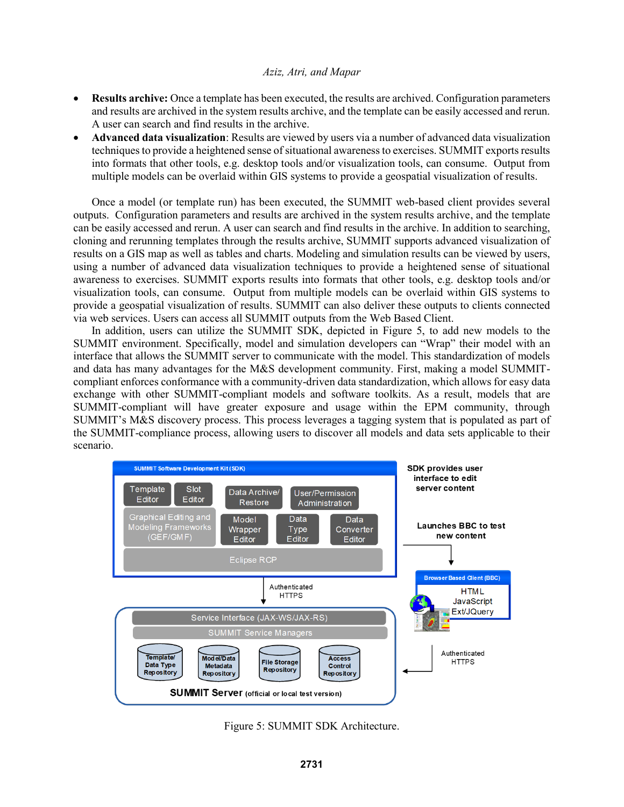- **Results archive:** Once a template has been executed, the results are archived. Configuration parameters and results are archived in the system results archive, and the template can be easily accessed and rerun. A user can search and find results in the archive.
- **Advanced data visualization**: Results are viewed by users via a number of advanced data visualization techniques to provide a heightened sense of situational awareness to exercises. SUMMIT exports results into formats that other tools, e.g. desktop tools and/or visualization tools, can consume. Output from multiple models can be overlaid within GIS systems to provide a geospatial visualization of results.

Once a model (or template run) has been executed, the SUMMIT web-based client provides several outputs. Configuration parameters and results are archived in the system results archive, and the template can be easily accessed and rerun. A user can search and find results in the archive. In addition to searching, cloning and rerunning templates through the results archive, SUMMIT supports advanced visualization of results on a GIS map as well as tables and charts. Modeling and simulation results can be viewed by users, using a number of advanced data visualization techniques to provide a heightened sense of situational awareness to exercises. SUMMIT exports results into formats that other tools, e.g. desktop tools and/or visualization tools, can consume. Output from multiple models can be overlaid within GIS systems to provide a geospatial visualization of results. SUMMIT can also deliver these outputs to clients connected via web services. Users can access all SUMMIT outputs from the Web Based Client.

In addition, users can utilize the SUMMIT SDK, depicted in Figure 5, to add new models to the SUMMIT environment. Specifically, model and simulation developers can "Wrap" their model with an interface that allows the SUMMIT server to communicate with the model. This standardization of models and data has many advantages for the M&S development community. First, making a model SUMMITcompliant enforces conformance with a community-driven data standardization, which allows for easy data exchange with other SUMMIT-compliant models and software toolkits. As a result, models that are SUMMIT-compliant will have greater exposure and usage within the EPM community, through SUMMIT's M&S discovery process. This process leverages a tagging system that is populated as part of the SUMMIT-compliance process, allowing users to discover all models and data sets applicable to their scenario.



Figure 5: SUMMIT SDK Architecture.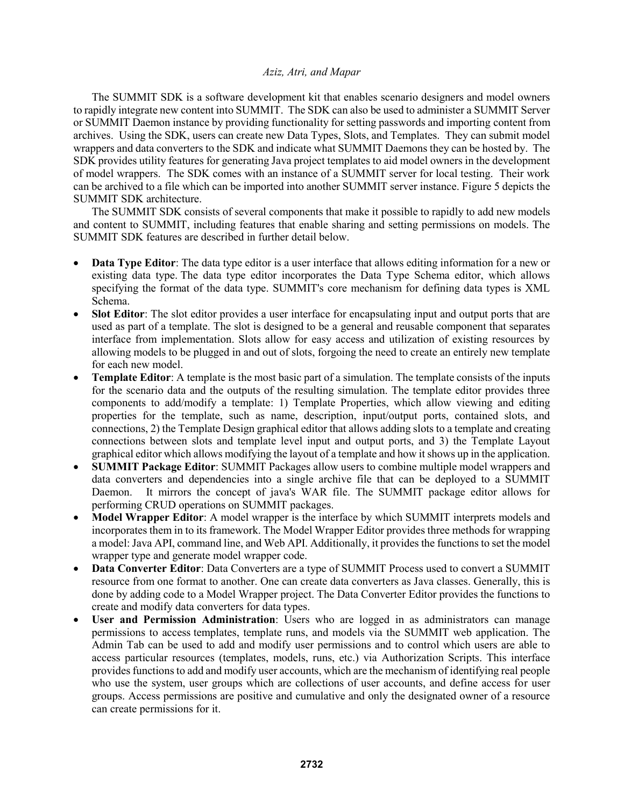The SUMMIT SDK is a software development kit that enables scenario designers and model owners to rapidly integrate new content into SUMMIT. The SDK can also be used to administer a SUMMIT Server or SUMMIT Daemon instance by providing functionality for setting passwords and importing content from archives. Using the SDK, users can create new Data Types, Slots, and Templates. They can submit model wrappers and data converters to the SDK and indicate what SUMMIT Daemons they can be hosted by. The SDK provides utility features for generating Java project templates to aid model owners in the development of model wrappers. The SDK comes with an instance of a SUMMIT server for local testing. Their work can be archived to a file which can be imported into another SUMMIT server instance. Figure 5 depicts the SUMMIT SDK architecture.

The SUMMIT SDK consists of several components that make it possible to rapidly to add new models and content to SUMMIT, including features that enable sharing and setting permissions on models. The SUMMIT SDK features are described in further detail below.

- **Data Type Editor**: The data type editor is a user interface that allows editing information for a new or existing data type. The data type editor incorporates the Data Type Schema editor, which allows specifying the format of the data type. SUMMIT's core mechanism for defining data types is XML Schema.
- **Slot Editor**: The slot editor provides a user interface for encapsulating input and output ports that are used as part of a template. The slot is designed to be a general and reusable component that separates interface from implementation. Slots allow for easy access and utilization of existing resources by allowing models to be plugged in and out of slots, forgoing the need to create an entirely new template for each new model.
- **Template Editor**: A template is the most basic part of a simulation. The template consists of the inputs for the scenario data and the outputs of the resulting simulation. The template editor provides three components to add/modify a template: 1) Template Properties, which allow viewing and editing properties for the template, such as name, description, input/output ports, contained slots, and connections, 2) the Template Design graphical editor that allows adding slots to a template and creating connections between slots and template level input and output ports, and 3) the Template Layout graphical editor which allows modifying the layout of a template and how it shows up in the application.
- **SUMMIT Package Editor**: SUMMIT Packages allow users to combine multiple model wrappers and data converters and dependencies into a single archive file that can be deployed to a SUMMIT Daemon. It mirrors the concept of java's WAR file. The SUMMIT package editor allows for performing CRUD operations on SUMMIT packages.
- **Model Wrapper Editor**: A model wrapper is the interface by which SUMMIT interprets models and incorporates them in to its framework. The Model Wrapper Editor provides three methods for wrapping a model: Java API, command line, and Web API. Additionally, it provides the functions to set the model wrapper type and generate model wrapper code.
- **Data Converter Editor**: Data Converters are a type of SUMMIT Process used to convert a SUMMIT resource from one format to another. One can create data converters as Java classes. Generally, this is done by adding code to a Model Wrapper project. The Data Converter Editor provides the functions to create and modify data converters for data types.
- **User and Permission Administration**: Users who are logged in as administrators can manage permissions to access templates, template runs, and models via the SUMMIT web application. The Admin Tab can be used to add and modify user permissions and to control which users are able to access particular resources (templates, models, runs, etc.) via Authorization Scripts. This interface provides functions to add and modify user accounts, which are the mechanism of identifying real people who use the system, user groups which are collections of user accounts, and define access for user groups. Access permissions are positive and cumulative and only the designated owner of a resource can create permissions for it.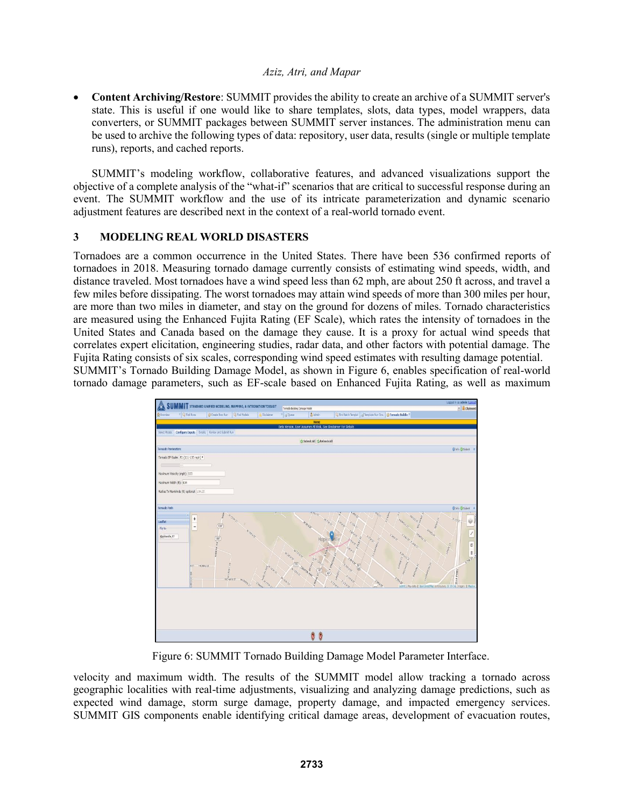• **Content Archiving/Restore**: SUMMIT provides the ability to create an archive of a SUMMIT server's state. This is useful if one would like to share templates, slots, data types, model wrappers, data converters, or SUMMIT packages between SUMMIT server instances. The administration menu can be used to archive the following types of data: repository, user data, results (single or multiple template runs), reports, and cached reports.

SUMMIT's modeling workflow, collaborative features, and advanced visualizations support the objective of a complete analysis of the "what-if" scenarios that are critical to successful response during an event. The SUMMIT workflow and the use of its intricate parameterization and dynamic scenario adjustment features are described next in the context of a real-world tornado event.

# **3 MODELING REAL WORLD DISASTERS**

Tornadoes are a common occurrence in the United States. There have been 536 confirmed reports of tornadoes in 2018. Measuring tornado damage currently consists of estimating wind speeds, width, and distance traveled. Most tornadoes have a wind speed less than 62 mph, are about 250 ft across, and travel a few miles before dissipating. The worst tornadoes may attain wind speeds of more than 300 miles per hour, are more than two miles in diameter, and stay on the ground for dozens of miles. Tornado characteristics are measured using the Enhanced Fujita Rating (EF Scale), which rates the intensity of tornadoes in the United States and Canada based on the damage they cause. It is a proxy for actual wind speeds that correlates expert elicitation, engineering studies, radar data, and other factors with potential damage. The Fujita Rating consists of six scales, corresponding wind speed estimates with resulting damage potential. SUMMIT's Tornado Building Damage Model, as shown in Figure 6, enables specification of real-world tornado damage parameters, such as EF-scale based on Enhanced Fujita Rating, as well as maximum



Figure 6: SUMMIT Tornado Building Damage Model Parameter Interface.

velocity and maximum width. The results of the SUMMIT model allow tracking a tornado across geographic localities with real-time adjustments, visualizing and analyzing damage predictions, such as expected wind damage, storm surge damage, property damage, and impacted emergency services. SUMMIT GIS components enable identifying critical damage areas, development of evacuation routes,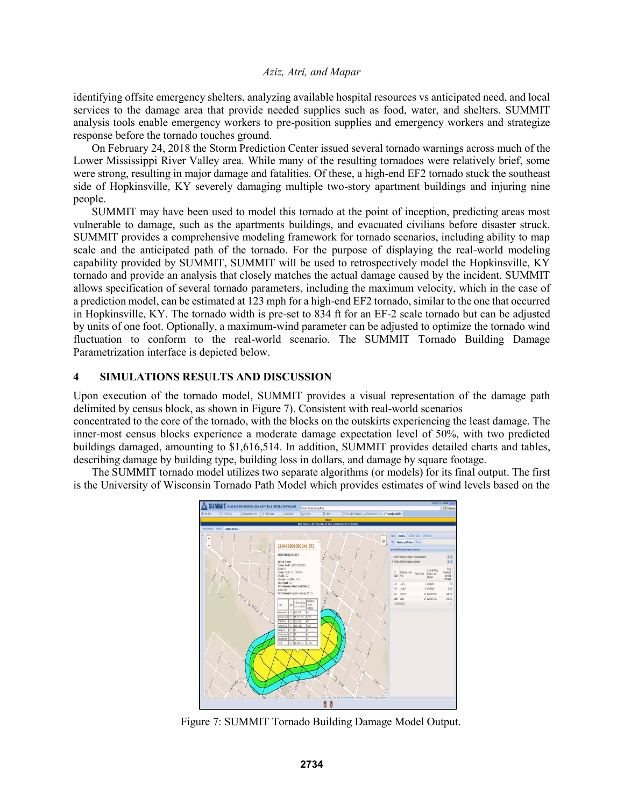identifying offsite emergency shelters, analyzing available hospital resources vs anticipated need, and local services to the damage area that provide needed supplies such as food, water, and shelters. SUMMIT analysis tools enable emergency workers to pre-position supplies and emergency workers and strategize response before the tornado touches ground.

On February 24, 2018 the Storm Prediction Center issued several tornado warnings across much of the Lower Mississippi River Valley area. While many of the resulting tornadoes were relatively brief, some were strong, resulting in major damage and fatalities. Of these, a high-end EF2 tornado stuck the southeast side of Hopkinsville, KY severely damaging multiple two-story apartment buildings and injuring nine people.

SUMMIT may have been used to model this tornado at the point of inception, predicting areas most vulnerable to damage, such as the apartments buildings, and evacuated civilians before disaster struck. SUMMIT provides a comprehensive modeling framework for tornado scenarios, including ability to map scale and the anticipated path of the tornado. For the purpose of displaying the real-world modeling capability provided by SUMMIT, SUMMIT will be used to retrospectively model the Hopkinsville, KY tornado and provide an analysis that closely matches the actual damage caused by the incident. SUMMIT allows specification of several tornado parameters, including the maximum velocity, which in the case of a prediction model, can be estimated at 123 mph for a high-end EF2 tornado, similar to the one that occurred in Hopkinsville, KY. The tornado width is pre-set to 834 ft for an EF-2 scale tornado but can be adjusted by units of one foot. Optionally, a maximum-wind parameter can be adjusted to optimize the tornado wind fluctuation to conform to the real-world scenario. The SUMMIT Tornado Building Damage Parametrization interface is depicted below.

# **4 SIMULATIONS RESULTS AND DISCUSSION**

Upon execution of the tornado model, SUMMIT provides a visual representation of the damage path delimited by census block, as shown in Figure 7). Consistent with real-world scenarios

concentrated to the core of the tornado, with the blocks on the outskirts experiencing the least damage. The inner-most census blocks experience a moderate damage expectation level of 50%, with two predicted buildings damaged, amounting to \$1,616,514. In addition, SUMMIT provides detailed charts and tables, describing damage by building type, building loss in dollars, and damage by square footage.

The SUMMIT tornado model utilizes two separate algorithms (or models) for its final output. The first is the University of Wisconsin Tornado Path Model which provides estimates of wind levels based on the



Figure 7: SUMMIT Tornado Building Damage Model Output.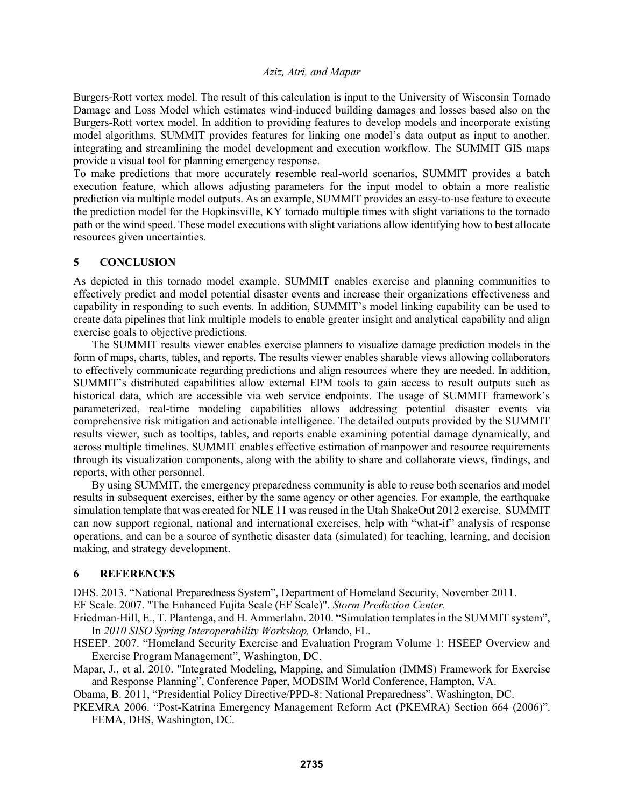Burgers-Rott vortex model. The result of this calculation is input to the University of Wisconsin Tornado Damage and Loss Model which estimates wind-induced building damages and losses based also on the Burgers-Rott vortex model. In addition to providing features to develop models and incorporate existing model algorithms, SUMMIT provides features for linking one model's data output as input to another, integrating and streamlining the model development and execution workflow. The SUMMIT GIS maps provide a visual tool for planning emergency response.

To make predictions that more accurately resemble real-world scenarios, SUMMIT provides a batch execution feature, which allows adjusting parameters for the input model to obtain a more realistic prediction via multiple model outputs. As an example, SUMMIT provides an easy-to-use feature to execute the prediction model for the Hopkinsville, KY tornado multiple times with slight variations to the tornado path or the wind speed. These model executions with slight variations allow identifying how to best allocate resources given uncertainties.

### **5 CONCLUSION**

As depicted in this tornado model example, SUMMIT enables exercise and planning communities to effectively predict and model potential disaster events and increase their organizations effectiveness and capability in responding to such events. In addition, SUMMIT's model linking capability can be used to create data pipelines that link multiple models to enable greater insight and analytical capability and align exercise goals to objective predictions.

The SUMMIT results viewer enables exercise planners to visualize damage prediction models in the form of maps, charts, tables, and reports. The results viewer enables sharable views allowing collaborators to effectively communicate regarding predictions and align resources where they are needed. In addition, SUMMIT's distributed capabilities allow external EPM tools to gain access to result outputs such as historical data, which are accessible via web service endpoints. The usage of SUMMIT framework's parameterized, real-time modeling capabilities allows addressing potential disaster events via comprehensive risk mitigation and actionable intelligence. The detailed outputs provided by the SUMMIT results viewer, such as tooltips, tables, and reports enable examining potential damage dynamically, and across multiple timelines. SUMMIT enables effective estimation of manpower and resource requirements through its visualization components, along with the ability to share and collaborate views, findings, and reports, with other personnel.

By using SUMMIT, the emergency preparedness community is able to reuse both scenarios and model results in subsequent exercises, either by the same agency or other agencies. For example, the earthquake simulation template that was created for NLE 11 was reused in the Utah ShakeOut 2012 exercise. SUMMIT can now support regional, national and international exercises, help with "what-if" analysis of response operations, and can be a source of synthetic disaster data (simulated) for teaching, learning, and decision making, and strategy development.

### **6 REFERENCES**

DHS. 2013. "National Preparedness System", Department of Homeland Security, November 2011. EF Scale. 2007. "The Enhanced Fujita Scale (EF Scale)". *Storm Prediction Center.* 

Friedman-Hill, E., T. Plantenga, and H. Ammerlahn. 2010. "Simulation templates in the SUMMIT system", In *2010 SISO Spring Interoperability Workshop,* Orlando, FL.

- HSEEP. 2007. "Homeland Security Exercise and Evaluation Program Volume 1: HSEEP Overview and Exercise Program Management", Washington, DC.
- Mapar, J., et al. 2010. "Integrated Modeling, Mapping, and Simulation (IMMS) Framework for Exercise and Response Planning", Conference Paper, MODSIM World Conference, Hampton, VA.

Obama, B. 2011, "Presidential Policy Directive/PPD-8: National Preparedness". Washington, DC.

PKEMRA 2006. "Post-Katrina Emergency Management Reform Act (PKEMRA) Section 664 (2006)". FEMA, DHS, Washington, DC.